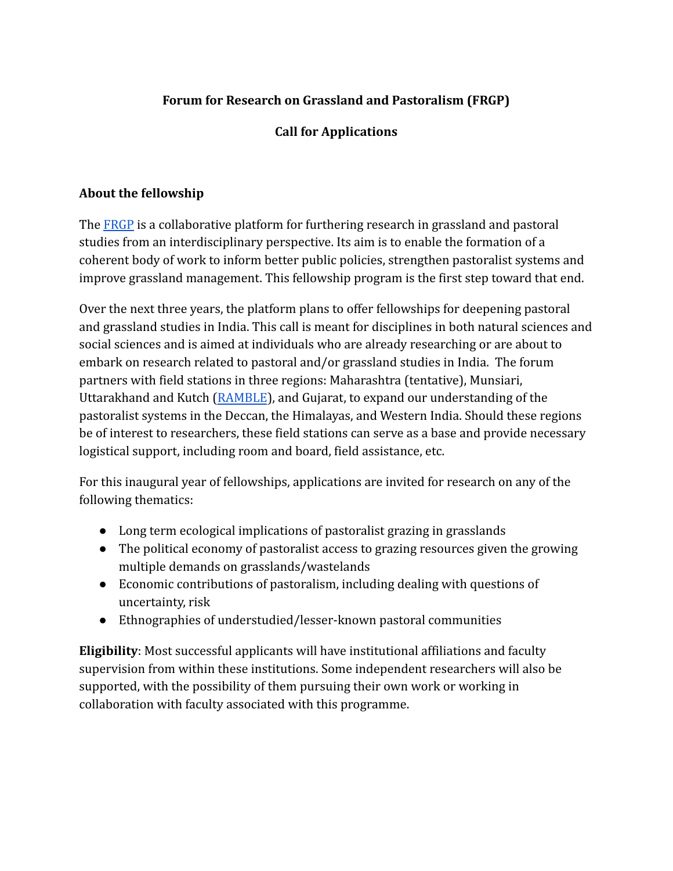## **Forum for Research on Grassland and Pastoralism (FRGP)**

## **Call for Applications**

#### **About the fellowship**

The [FRGP](https://centreforpastoralism.org/frgp/) is a collaborative platform for furthering research in grassland and pastoral studies from an interdisciplinary perspective. Its aim is to enable the formation of a coherent body of work to inform better public policies, strengthen pastoralist systems and improve grassland management. This fellowship program is the first step toward that end.

Over the next three years, the platform plans to offer fellowships for deepening pastoral and grassland studies in India. This call is meant for disciplines in both natural sciences and social sciences and is aimed at individuals who are already researching or are about to embark on research related to pastoral and/or grassland studies in India. The forum partners with field stations in three regions: Maharashtra (tentative), Munsiari, Uttarakhand and Kutch ([RAMBLE](https://bannigrassland.org/)), and Gujarat, to expand our understanding of the pastoralist systems in the Deccan, the Himalayas, and Western India. Should these regions be of interest to researchers, these field stations can serve as a base and provide necessary logistical support, including room and board, field assistance, etc.

For this inaugural year of fellowships, applications are invited for research on any of the following thematics:

- Long term ecological implications of pastoralist grazing in grasslands
- The political economy of pastoralist access to grazing resources given the growing multiple demands on grasslands/wastelands
- Economic contributions of pastoralism, including dealing with questions of uncertainty, risk
- Ethnographies of understudied/lesser-known pastoral communities

**Eligibility**: Most successful applicants will have institutional affiliations and faculty supervision from within these institutions. Some independent researchers will also be supported, with the possibility of them pursuing their own work or working in collaboration with faculty associated with this programme.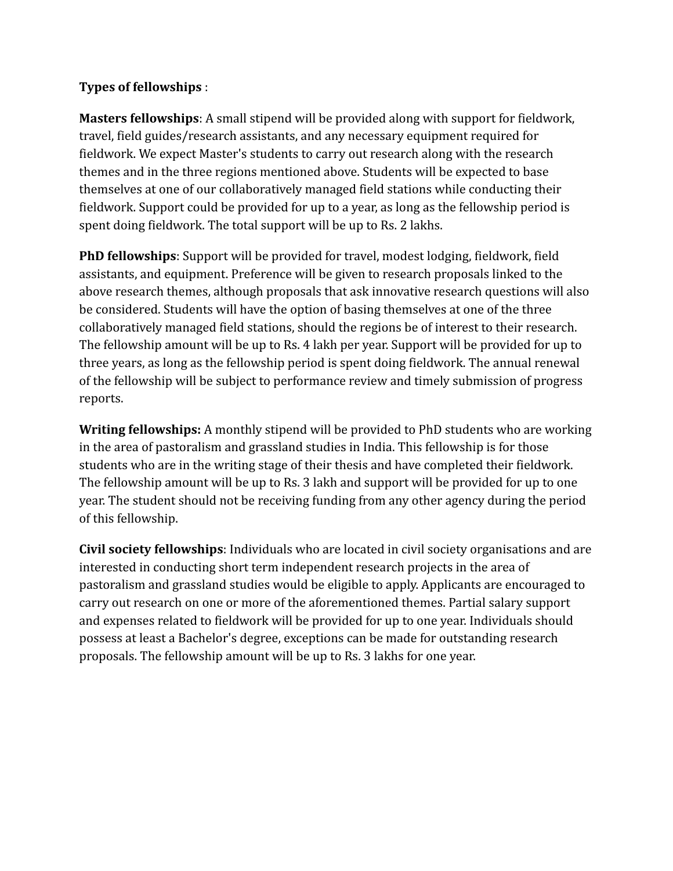#### **Types of fellowships** :

**Masters fellowships**: A small stipend will be provided along with support for fieldwork, travel, field guides/research assistants, and any necessary equipment required for fieldwork. We expect Master's students to carry out research along with the research themes and in the three regions mentioned above. Students will be expected to base themselves at one of our collaboratively managed field stations while conducting their fieldwork. Support could be provided for up to a year, as long as the fellowship period is spent doing fieldwork. The total support will be up to Rs. 2 lakhs.

**PhD fellowships**: Support will be provided for travel, modest lodging, fieldwork, field assistants, and equipment. Preference will be given to research proposals linked to the above research themes, although proposals that ask innovative research questions will also be considered. Students will have the option of basing themselves at one of the three collaboratively managed field stations, should the regions be of interest to their research. The fellowship amount will be up to Rs. 4 lakh per year. Support will be provided for up to three years, as long as the fellowship period is spent doing fieldwork. The annual renewal of the fellowship will be subject to performance review and timely submission of progress reports.

**Writing fellowships:** A monthly stipend will be provided to PhD students who are working in the area of pastoralism and grassland studies in India. This fellowship is for those students who are in the writing stage of their thesis and have completed their fieldwork. The fellowship amount will be up to Rs. 3 lakh and support will be provided for up to one year. The student should not be receiving funding from any other agency during the period of this fellowship.

**Civil society fellowships**: Individuals who are located in civil society organisations and are interested in conducting short term independent research projects in the area of pastoralism and grassland studies would be eligible to apply. Applicants are encouraged to carry out research on one or more of the aforementioned themes. Partial salary support and expenses related to fieldwork will be provided for up to one year. Individuals should possess at least a Bachelor's degree, exceptions can be made for outstanding research proposals. The fellowship amount will be up to Rs. 3 lakhs for one year.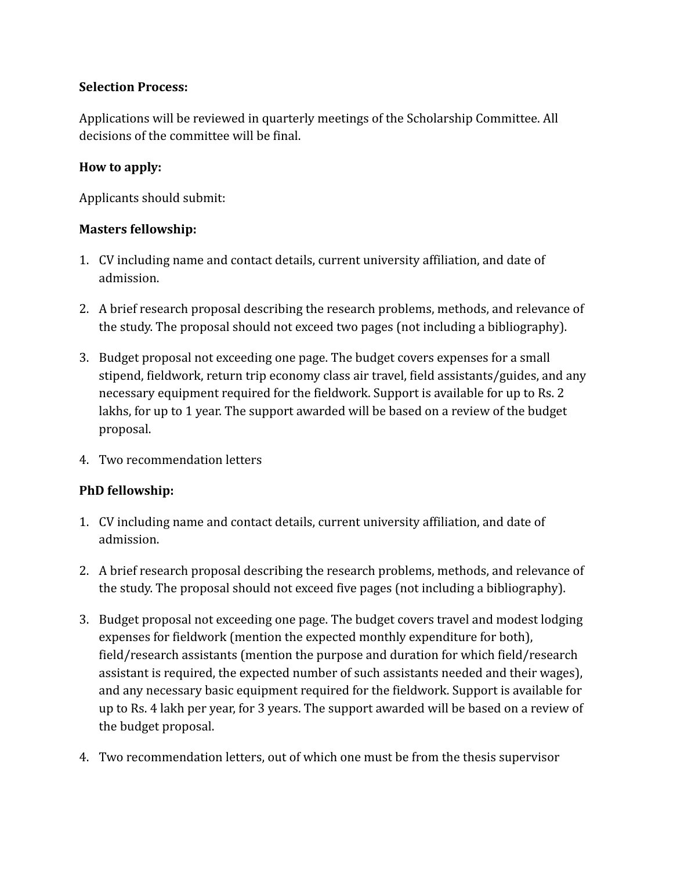## **Selection Process:**

Applications will be reviewed in quarterly meetings of the Scholarship Committee. All decisions of the committee will be final.

## **How to apply:**

Applicants should submit:

## **Masters fellowship:**

- 1. CV including name and contact details, current university affiliation, and date of admission.
- 2. A brief research proposal describing the research problems, methods, and relevance of the study. The proposal should not exceed two pages (not including a bibliography).
- 3. Budget proposal not exceeding one page. The budget covers expenses for a small stipend, fieldwork, return trip economy class air travel, field assistants/guides, and any necessary equipment required for the fieldwork. Support is available for up to Rs. 2 lakhs, for up to 1 year. The support awarded will be based on a review of the budget proposal.
- 4. Two recommendation letters

# **PhD fellowship:**

- 1. CV including name and contact details, current university affiliation, and date of admission.
- 2. A brief research proposal describing the research problems, methods, and relevance of the study. The proposal should not exceed five pages (not including a bibliography).
- 3. Budget proposal not exceeding one page. The budget covers travel and modest lodging expenses for fieldwork (mention the expected monthly expenditure for both), field/research assistants (mention the purpose and duration for which field/research assistant is required, the expected number of such assistants needed and their wages), and any necessary basic equipment required for the fieldwork. Support is available for up to Rs. 4 lakh per year, for 3 years. The support awarded will be based on a review of the budget proposal.
- 4. Two recommendation letters, out of which one must be from the thesis supervisor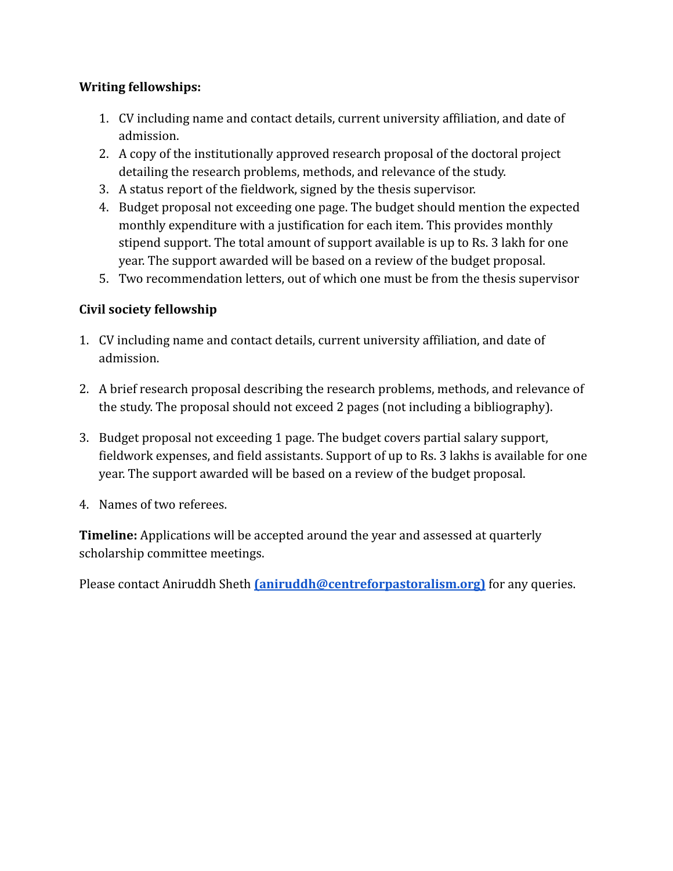## **Writing fellowships:**

- 1. CV including name and contact details, current university affiliation, and date of admission.
- 2. A copy of the institutionally approved research proposal of the doctoral project detailing the research problems, methods, and relevance of the study.
- 3. A status report of the fieldwork, signed by the thesis supervisor.
- 4. Budget proposal not exceeding one page. The budget should mention the expected monthly expenditure with a justification for each item. This provides monthly stipend support. The total amount of support available is up to Rs. 3 lakh for one year. The support awarded will be based on a review of the budget proposal.
- 5. Two recommendation letters, out of which one must be from the thesis supervisor

## **Civil society fellowship**

- 1. CV including name and contact details, current university affiliation, and date of admission.
- 2. A brief research proposal describing the research problems, methods, and relevance of the study. The proposal should not exceed 2 pages (not including a bibliography).
- 3. Budget proposal not exceeding 1 page. The budget covers partial salary support, fieldwork expenses, and field assistants. Support of up to Rs. 3 lakhs is available for one year. The support awarded will be based on a review of the budget proposal.
- 4. Names of two referees.

**Timeline:** Applications will be accepted around the year and assessed at quarterly scholarship committee meetings.

Please contact Aniruddh Sheth **[\(aniruddh@centreforpastoralism.org\)](mailto:aniruddh@centreforpastoralism.org)** for any queries.